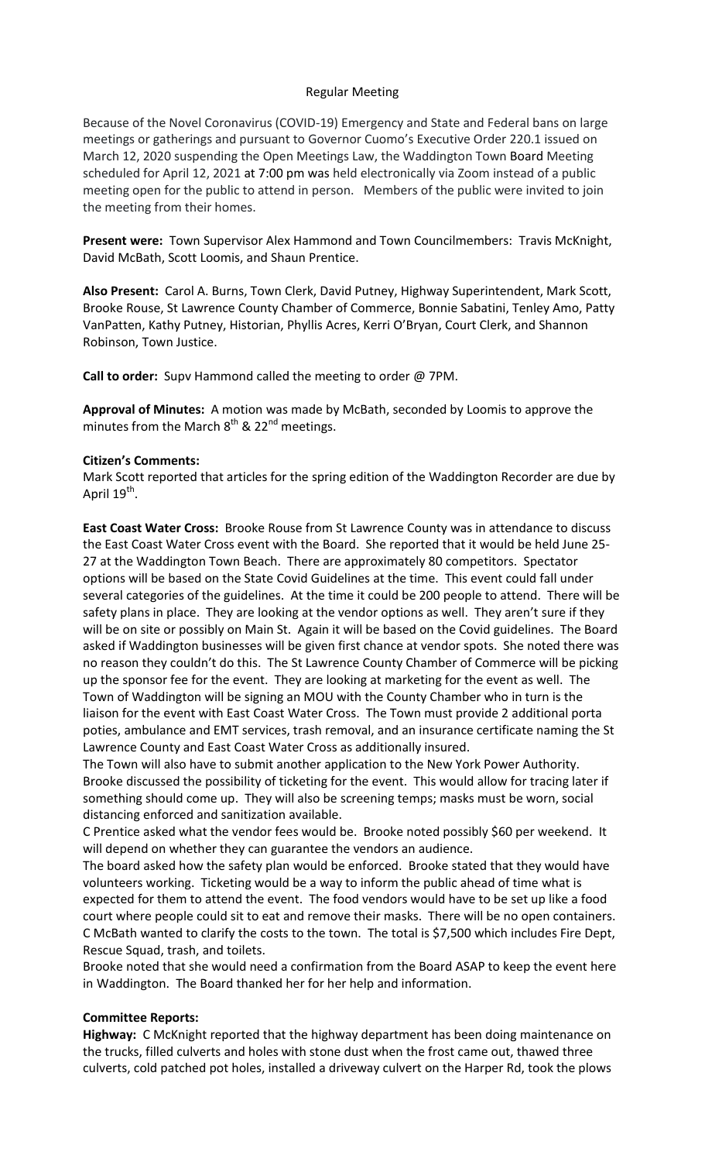## Regular Meeting

Because of the Novel Coronavirus (COVID-19) Emergency and State and Federal bans on large meetings or gatherings and pursuant to Governor Cuomo's Executive Order 220.1 issued on March 12, 2020 suspending the Open Meetings Law, the Waddington Town Board Meeting scheduled for April 12, 2021 at 7:00 pm was held electronically via Zoom instead of a public meeting open for the public to attend in person. Members of the public were invited to join the meeting from their homes.

**Present were:** Town Supervisor Alex Hammond and Town Councilmembers: Travis McKnight, David McBath, Scott Loomis, and Shaun Prentice.

**Also Present:** Carol A. Burns, Town Clerk, David Putney, Highway Superintendent, Mark Scott, Brooke Rouse, St Lawrence County Chamber of Commerce, Bonnie Sabatini, Tenley Amo, Patty VanPatten, Kathy Putney, Historian, Phyllis Acres, Kerri O'Bryan, Court Clerk, and Shannon Robinson, Town Justice.

**Call to order:** Supv Hammond called the meeting to order @ 7PM.

**Approval of Minutes:** A motion was made by McBath, seconded by Loomis to approve the minutes from the March  $8^{th}$  & 22<sup>nd</sup> meetings.

## **Citizen's Comments:**

Mark Scott reported that articles for the spring edition of the Waddington Recorder are due by April 19<sup>th</sup>.

**East Coast Water Cross:** Brooke Rouse from St Lawrence County was in attendance to discuss the East Coast Water Cross event with the Board. She reported that it would be held June 25- 27 at the Waddington Town Beach. There are approximately 80 competitors. Spectator options will be based on the State Covid Guidelines at the time. This event could fall under several categories of the guidelines. At the time it could be 200 people to attend. There will be safety plans in place. They are looking at the vendor options as well. They aren't sure if they will be on site or possibly on Main St. Again it will be based on the Covid guidelines. The Board asked if Waddington businesses will be given first chance at vendor spots. She noted there was no reason they couldn't do this. The St Lawrence County Chamber of Commerce will be picking up the sponsor fee for the event. They are looking at marketing for the event as well. The Town of Waddington will be signing an MOU with the County Chamber who in turn is the liaison for the event with East Coast Water Cross. The Town must provide 2 additional porta poties, ambulance and EMT services, trash removal, and an insurance certificate naming the St Lawrence County and East Coast Water Cross as additionally insured.

The Town will also have to submit another application to the New York Power Authority. Brooke discussed the possibility of ticketing for the event. This would allow for tracing later if something should come up. They will also be screening temps; masks must be worn, social distancing enforced and sanitization available.

C Prentice asked what the vendor fees would be. Brooke noted possibly \$60 per weekend. It will depend on whether they can guarantee the vendors an audience.

The board asked how the safety plan would be enforced. Brooke stated that they would have volunteers working. Ticketing would be a way to inform the public ahead of time what is expected for them to attend the event. The food vendors would have to be set up like a food court where people could sit to eat and remove their masks. There will be no open containers. C McBath wanted to clarify the costs to the town. The total is \$7,500 which includes Fire Dept, Rescue Squad, trash, and toilets.

Brooke noted that she would need a confirmation from the Board ASAP to keep the event here in Waddington. The Board thanked her for her help and information.

## **Committee Reports:**

**Highway:** C McKnight reported that the highway department has been doing maintenance on the trucks, filled culverts and holes with stone dust when the frost came out, thawed three culverts, cold patched pot holes, installed a driveway culvert on the Harper Rd, took the plows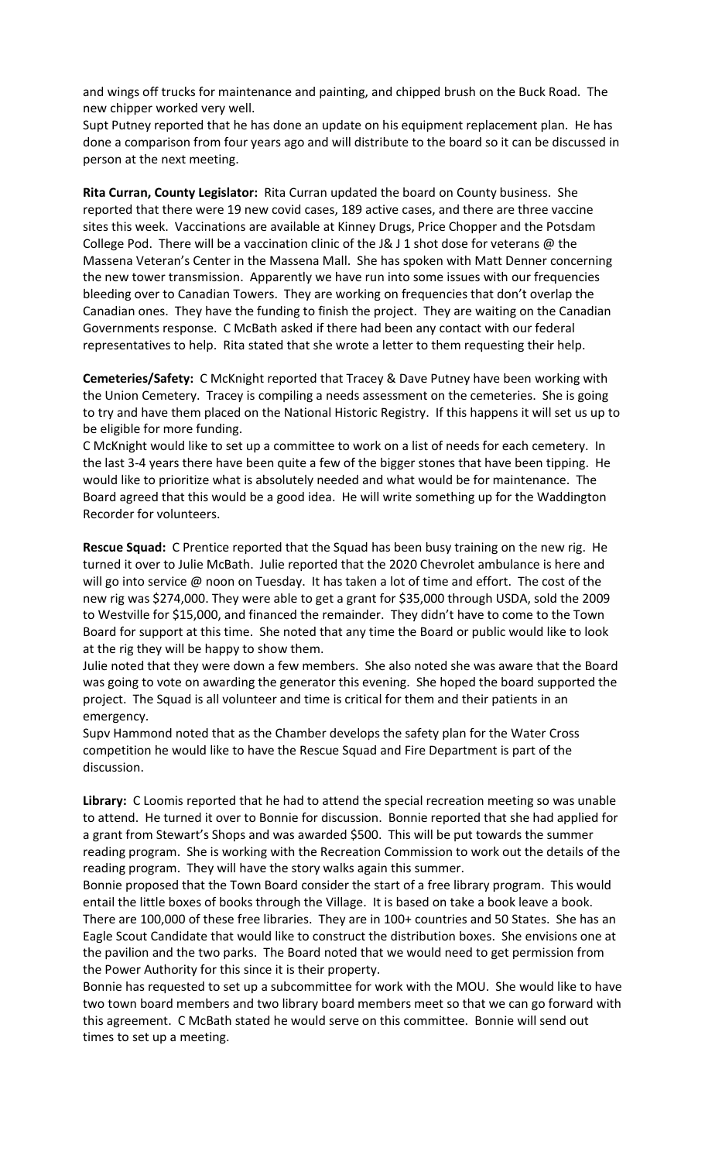and wings off trucks for maintenance and painting, and chipped brush on the Buck Road. The new chipper worked very well.

Supt Putney reported that he has done an update on his equipment replacement plan. He has done a comparison from four years ago and will distribute to the board so it can be discussed in person at the next meeting.

**Rita Curran, County Legislator:** Rita Curran updated the board on County business. She reported that there were 19 new covid cases, 189 active cases, and there are three vaccine sites this week. Vaccinations are available at Kinney Drugs, Price Chopper and the Potsdam College Pod. There will be a vaccination clinic of the J& J 1 shot dose for veterans @ the Massena Veteran's Center in the Massena Mall. She has spoken with Matt Denner concerning the new tower transmission. Apparently we have run into some issues with our frequencies bleeding over to Canadian Towers. They are working on frequencies that don't overlap the Canadian ones. They have the funding to finish the project. They are waiting on the Canadian Governments response. C McBath asked if there had been any contact with our federal representatives to help. Rita stated that she wrote a letter to them requesting their help.

**Cemeteries/Safety:** C McKnight reported that Tracey & Dave Putney have been working with the Union Cemetery. Tracey is compiling a needs assessment on the cemeteries. She is going to try and have them placed on the National Historic Registry. If this happens it will set us up to be eligible for more funding.

C McKnight would like to set up a committee to work on a list of needs for each cemetery. In the last 3-4 years there have been quite a few of the bigger stones that have been tipping. He would like to prioritize what is absolutely needed and what would be for maintenance. The Board agreed that this would be a good idea. He will write something up for the Waddington Recorder for volunteers.

**Rescue Squad:** C Prentice reported that the Squad has been busy training on the new rig. He turned it over to Julie McBath. Julie reported that the 2020 Chevrolet ambulance is here and will go into service @ noon on Tuesday. It has taken a lot of time and effort. The cost of the new rig was \$274,000. They were able to get a grant for \$35,000 through USDA, sold the 2009 to Westville for \$15,000, and financed the remainder. They didn't have to come to the Town Board for support at this time. She noted that any time the Board or public would like to look at the rig they will be happy to show them.

Julie noted that they were down a few members. She also noted she was aware that the Board was going to vote on awarding the generator this evening. She hoped the board supported the project. The Squad is all volunteer and time is critical for them and their patients in an emergency.

Supv Hammond noted that as the Chamber develops the safety plan for the Water Cross competition he would like to have the Rescue Squad and Fire Department is part of the discussion.

**Library:** C Loomis reported that he had to attend the special recreation meeting so was unable to attend. He turned it over to Bonnie for discussion. Bonnie reported that she had applied for a grant from Stewart's Shops and was awarded \$500. This will be put towards the summer reading program. She is working with the Recreation Commission to work out the details of the reading program. They will have the story walks again this summer.

Bonnie proposed that the Town Board consider the start of a free library program. This would entail the little boxes of books through the Village. It is based on take a book leave a book. There are 100,000 of these free libraries. They are in 100+ countries and 50 States. She has an Eagle Scout Candidate that would like to construct the distribution boxes. She envisions one at the pavilion and the two parks. The Board noted that we would need to get permission from the Power Authority for this since it is their property.

Bonnie has requested to set up a subcommittee for work with the MOU. She would like to have two town board members and two library board members meet so that we can go forward with this agreement. C McBath stated he would serve on this committee. Bonnie will send out times to set up a meeting.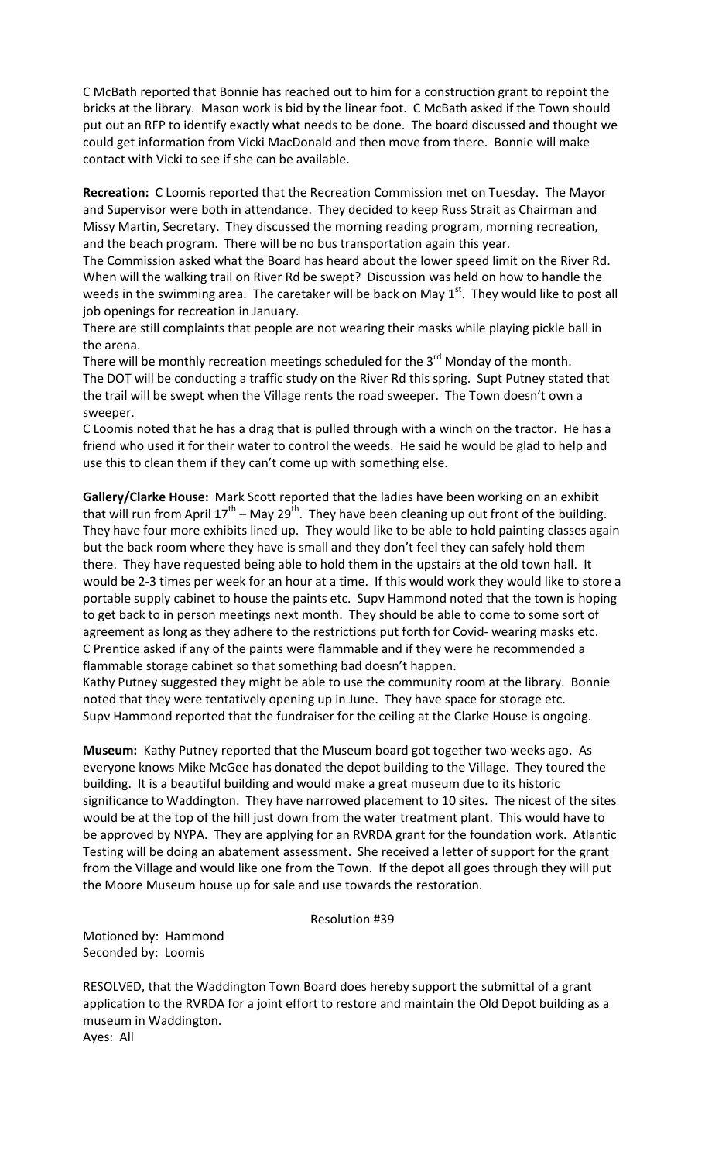C McBath reported that Bonnie has reached out to him for a construction grant to repoint the bricks at the library. Mason work is bid by the linear foot. C McBath asked if the Town should put out an RFP to identify exactly what needs to be done. The board discussed and thought we could get information from Vicki MacDonald and then move from there. Bonnie will make contact with Vicki to see if she can be available.

**Recreation:** C Loomis reported that the Recreation Commission met on Tuesday. The Mayor and Supervisor were both in attendance. They decided to keep Russ Strait as Chairman and Missy Martin, Secretary. They discussed the morning reading program, morning recreation, and the beach program. There will be no bus transportation again this year.

The Commission asked what the Board has heard about the lower speed limit on the River Rd. When will the walking trail on River Rd be swept? Discussion was held on how to handle the weeds in the swimming area. The caretaker will be back on May  $1<sup>st</sup>$ . They would like to post all job openings for recreation in January.

There are still complaints that people are not wearing their masks while playing pickle ball in the arena.

There will be monthly recreation meetings scheduled for the  $3<sup>rd</sup>$  Monday of the month. The DOT will be conducting a traffic study on the River Rd this spring. Supt Putney stated that the trail will be swept when the Village rents the road sweeper. The Town doesn't own a sweeper.

C Loomis noted that he has a drag that is pulled through with a winch on the tractor. He has a friend who used it for their water to control the weeds. He said he would be glad to help and use this to clean them if they can't come up with something else.

**Gallery/Clarke House:** Mark Scott reported that the ladies have been working on an exhibit that will run from April  $17^{th}$  – May 29<sup>th</sup>. They have been cleaning up out front of the building. They have four more exhibits lined up. They would like to be able to hold painting classes again but the back room where they have is small and they don't feel they can safely hold them there. They have requested being able to hold them in the upstairs at the old town hall. It would be 2-3 times per week for an hour at a time. If this would work they would like to store a portable supply cabinet to house the paints etc. Supv Hammond noted that the town is hoping to get back to in person meetings next month. They should be able to come to some sort of agreement as long as they adhere to the restrictions put forth for Covid- wearing masks etc. C Prentice asked if any of the paints were flammable and if they were he recommended a flammable storage cabinet so that something bad doesn't happen.

Kathy Putney suggested they might be able to use the community room at the library. Bonnie noted that they were tentatively opening up in June. They have space for storage etc. Supv Hammond reported that the fundraiser for the ceiling at the Clarke House is ongoing.

**Museum:** Kathy Putney reported that the Museum board got together two weeks ago. As everyone knows Mike McGee has donated the depot building to the Village. They toured the building. It is a beautiful building and would make a great museum due to its historic significance to Waddington. They have narrowed placement to 10 sites. The nicest of the sites would be at the top of the hill just down from the water treatment plant. This would have to be approved by NYPA. They are applying for an RVRDA grant for the foundation work. Atlantic Testing will be doing an abatement assessment. She received a letter of support for the grant from the Village and would like one from the Town. If the depot all goes through they will put the Moore Museum house up for sale and use towards the restoration.

Resolution #39

Motioned by: Hammond Seconded by: Loomis

RESOLVED, that the Waddington Town Board does hereby support the submittal of a grant application to the RVRDA for a joint effort to restore and maintain the Old Depot building as a museum in Waddington. Ayes: All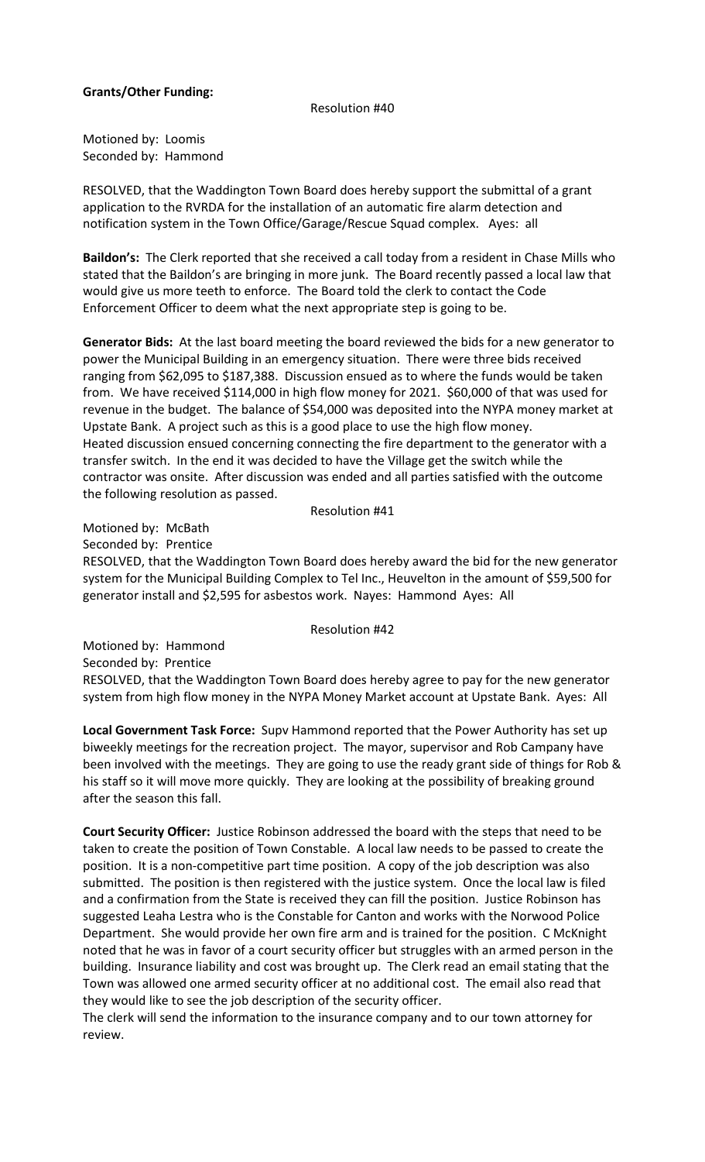# **Grants/Other Funding:**

### Resolution #40

Motioned by: Loomis Seconded by: Hammond

RESOLVED, that the Waddington Town Board does hereby support the submittal of a grant application to the RVRDA for the installation of an automatic fire alarm detection and notification system in the Town Office/Garage/Rescue Squad complex. Ayes: all

**Baildon's:** The Clerk reported that she received a call today from a resident in Chase Mills who stated that the Baildon's are bringing in more junk. The Board recently passed a local law that would give us more teeth to enforce. The Board told the clerk to contact the Code Enforcement Officer to deem what the next appropriate step is going to be.

**Generator Bids:** At the last board meeting the board reviewed the bids for a new generator to power the Municipal Building in an emergency situation. There were three bids received ranging from \$62,095 to \$187,388. Discussion ensued as to where the funds would be taken from. We have received \$114,000 in high flow money for 2021. \$60,000 of that was used for revenue in the budget. The balance of \$54,000 was deposited into the NYPA money market at Upstate Bank. A project such as this is a good place to use the high flow money. Heated discussion ensued concerning connecting the fire department to the generator with a transfer switch. In the end it was decided to have the Village get the switch while the contractor was onsite. After discussion was ended and all parties satisfied with the outcome the following resolution as passed.

#### Resolution #41

Motioned by: McBath

Seconded by: Prentice

RESOLVED, that the Waddington Town Board does hereby award the bid for the new generator system for the Municipal Building Complex to Tel Inc., Heuvelton in the amount of \$59,500 for generator install and \$2,595 for asbestos work. Nayes: Hammond Ayes: All

### Resolution #42

Motioned by: Hammond Seconded by: Prentice RESOLVED, that the Waddington Town Board does hereby agree to pay for the new generator system from high flow money in the NYPA Money Market account at Upstate Bank. Ayes: All

**Local Government Task Force:** Supv Hammond reported that the Power Authority has set up biweekly meetings for the recreation project. The mayor, supervisor and Rob Campany have been involved with the meetings. They are going to use the ready grant side of things for Rob & his staff so it will move more quickly. They are looking at the possibility of breaking ground after the season this fall.

**Court Security Officer:** Justice Robinson addressed the board with the steps that need to be taken to create the position of Town Constable. A local law needs to be passed to create the position. It is a non-competitive part time position. A copy of the job description was also submitted. The position is then registered with the justice system. Once the local law is filed and a confirmation from the State is received they can fill the position. Justice Robinson has suggested Leaha Lestra who is the Constable for Canton and works with the Norwood Police Department. She would provide her own fire arm and is trained for the position. C McKnight noted that he was in favor of a court security officer but struggles with an armed person in the building. Insurance liability and cost was brought up. The Clerk read an email stating that the Town was allowed one armed security officer at no additional cost. The email also read that they would like to see the job description of the security officer.

The clerk will send the information to the insurance company and to our town attorney for review.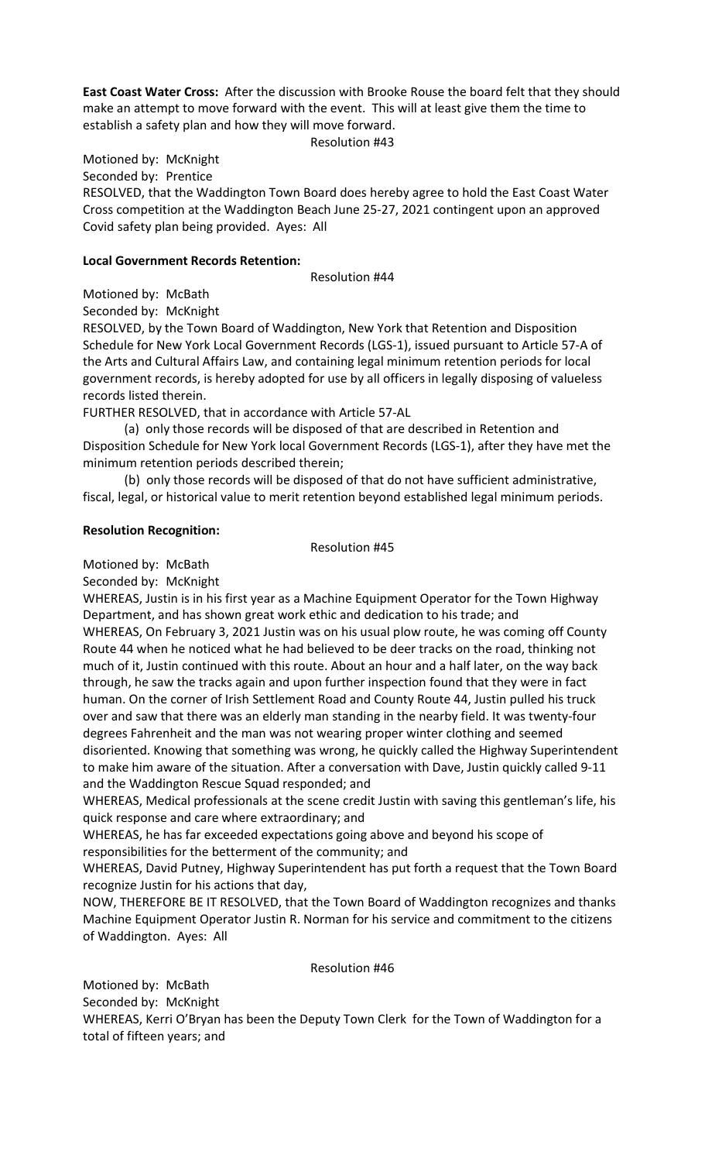**East Coast Water Cross:** After the discussion with Brooke Rouse the board felt that they should make an attempt to move forward with the event. This will at least give them the time to establish a safety plan and how they will move forward.

Resolution #43

Motioned by: McKnight

Seconded by: Prentice

RESOLVED, that the Waddington Town Board does hereby agree to hold the East Coast Water Cross competition at the Waddington Beach June 25-27, 2021 contingent upon an approved Covid safety plan being provided. Ayes: All

## **Local Government Records Retention:**

Resolution #44

Motioned by: McBath

Seconded by: McKnight

RESOLVED, by the Town Board of Waddington, New York that Retention and Disposition Schedule for New York Local Government Records (LGS-1), issued pursuant to Article 57-A of the Arts and Cultural Affairs Law, and containing legal minimum retention periods for local government records, is hereby adopted for use by all officers in legally disposing of valueless records listed therein.

FURTHER RESOLVED, that in accordance with Article 57-AL

(a) only those records will be disposed of that are described in Retention and Disposition Schedule for New York local Government Records (LGS-1), after they have met the minimum retention periods described therein;

(b) only those records will be disposed of that do not have sufficient administrative, fiscal, legal, or historical value to merit retention beyond established legal minimum periods.

# **Resolution Recognition:**

Resolution #45

Motioned by: McBath

Seconded by: McKnight

WHEREAS, Justin is in his first year as a Machine Equipment Operator for the Town Highway Department, and has shown great work ethic and dedication to his trade; and WHEREAS, On February 3, 2021 Justin was on his usual plow route, he was coming off County Route 44 when he noticed what he had believed to be deer tracks on the road, thinking not much of it, Justin continued with this route. About an hour and a half later, on the way back through, he saw the tracks again and upon further inspection found that they were in fact human. On the corner of Irish Settlement Road and County Route 44, Justin pulled his truck over and saw that there was an elderly man standing in the nearby field. It was twenty-four degrees Fahrenheit and the man was not wearing proper winter clothing and seemed disoriented. Knowing that something was wrong, he quickly called the Highway Superintendent to make him aware of the situation. After a conversation with Dave, Justin quickly called 9-11 and the Waddington Rescue Squad responded; and

WHEREAS, Medical professionals at the scene credit Justin with saving this gentleman's life, his quick response and care where extraordinary; and

WHEREAS, he has far exceeded expectations going above and beyond his scope of responsibilities for the betterment of the community; and

WHEREAS, David Putney, Highway Superintendent has put forth a request that the Town Board recognize Justin for his actions that day,

NOW, THEREFORE BE IT RESOLVED, that the Town Board of Waddington recognizes and thanks Machine Equipment Operator Justin R. Norman for his service and commitment to the citizens of Waddington. Ayes: All

## Resolution #46

Motioned by: McBath

Seconded by: McKnight

WHEREAS, Kerri O'Bryan has been the Deputy Town Clerk for the Town of Waddington for a total of fifteen years; and